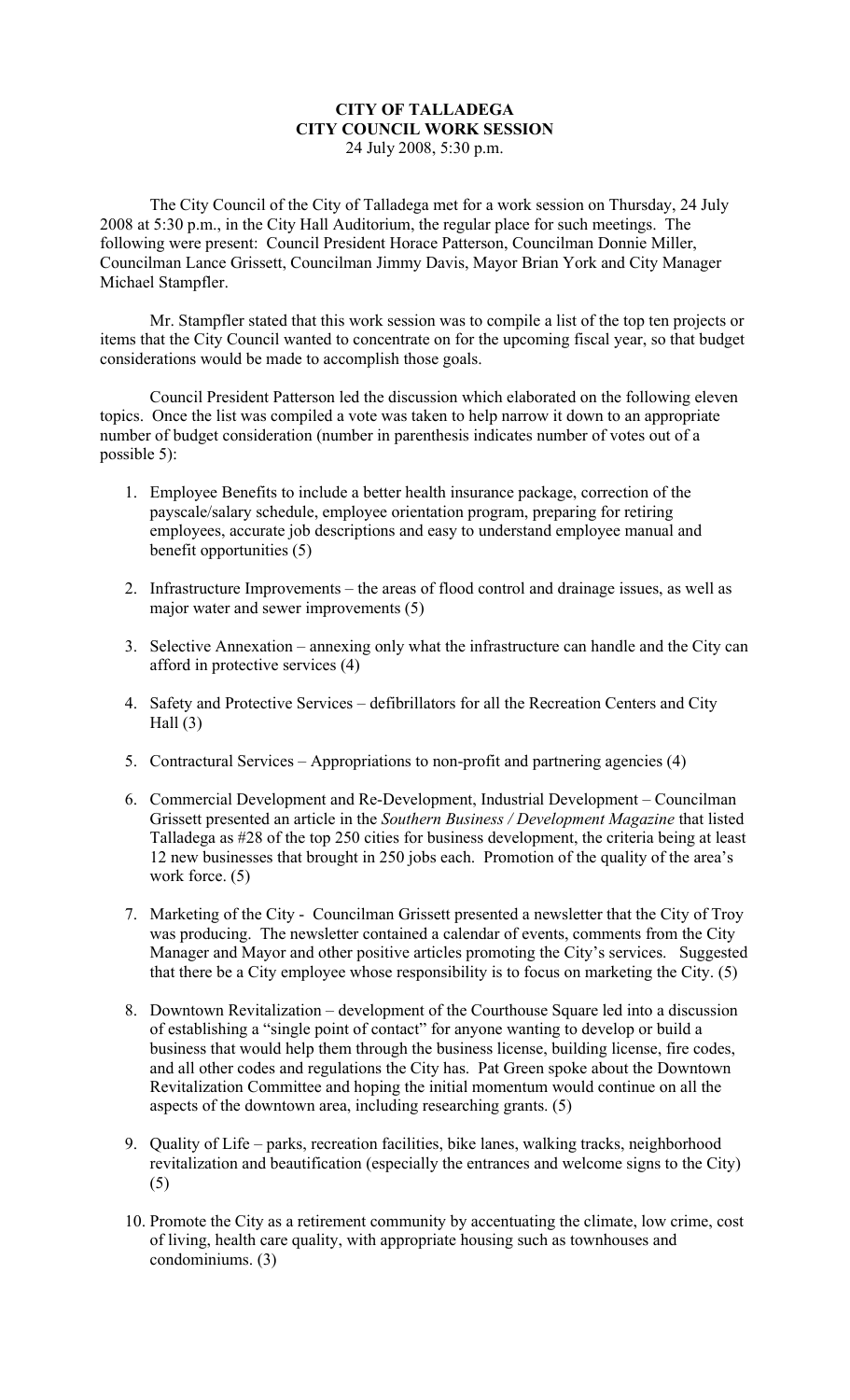## **CITY OF TALLADEGA CITY COUNCIL WORK SESSION**  24 July 2008, 5:30 p.m.

The City Council of the City of Talladega met for a work session on Thursday, 24 July 2008 at 5:30 p.m., in the City Hall Auditorium, the regular place for such meetings. The following were present: Council President Horace Patterson, Councilman Donnie Miller, Councilman Lance Grissett, Councilman Jimmy Davis, Mayor Brian York and City Manager Michael Stampfler.

Mr. Stampfler stated that this work session was to compile a list of the top ten projects or items that the City Council wanted to concentrate on for the upcoming fiscal year, so that budget considerations would be made to accomplish those goals.

Council President Patterson led the discussion which elaborated on the following eleven topics. Once the list was compiled a vote was taken to help narrow it down to an appropriate number of budget consideration (number in parenthesis indicates number of votes out of a possible 5):

- 1. Employee Benefits to include a better health insurance package, correction of the payscale/salary schedule, employee orientation program, preparing for retiring employees, accurate job descriptions and easy to understand employee manual and benefit opportunities (5)
- 2. Infrastructure Improvements the areas of flood control and drainage issues, as well as major water and sewer improvements (5)
- 3. Selective Annexation annexing only what the infrastructure can handle and the City can afford in protective services (4)
- 4. Safety and Protective Services defibrillators for all the Recreation Centers and City Hall  $(3)$
- 5. Contractural Services Appropriations to non-profit and partnering agencies (4)
- 6. Commercial Development and Re-Development, Industrial Development Councilman Grissett presented an article in the *Southern Business / Development Magazine* that listed Talladega as #28 of the top 250 cities for business development, the criteria being at least 12 new businesses that brought in 250 jobs each. Promotion of the quality of the area's work force.  $(5)$
- 7. Marketing of the City Councilman Grissett presented a newsletter that the City of Troy was producing. The newsletter contained a calendar of events, comments from the City Manager and Mayor and other positive articles promoting the City's services. Suggested that there be a City employee whose responsibility is to focus on marketing the City. (5)
- 8. Downtown Revitalization development of the Courthouse Square led into a discussion of establishing a "single point of contact" for anyone wanting to develop or build a business that would help them through the business license, building license, fire codes, and all other codes and regulations the City has. Pat Green spoke about the Downtown Revitalization Committee and hoping the initial momentum would continue on all the aspects of the downtown area, including researching grants. (5)
- 9. Quality of Life parks, recreation facilities, bike lanes, walking tracks, neighborhood revitalization and beautification (especially the entrances and welcome signs to the City) (5)
- 10. Promote the City as a retirement community by accentuating the climate, low crime, cost of living, health care quality, with appropriate housing such as townhouses and condominiums. (3)